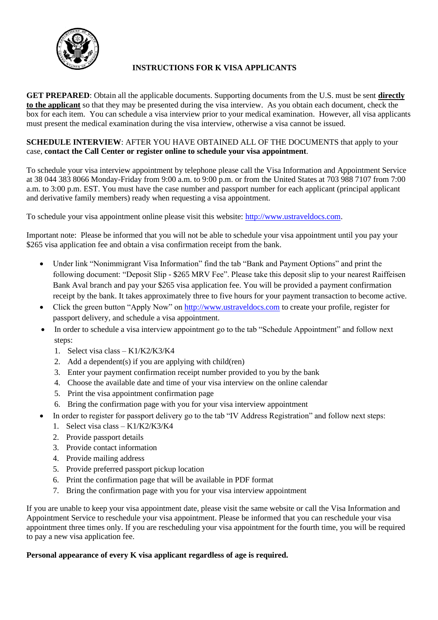

## **INSTRUCTIONS FOR K VISA APPLICANTS**

**GET PREPARED**: Obtain all the applicable documents. Supporting documents from the U.S. must be sent **directly to the applicant** so that they may be presented during the visa interview. As you obtain each document, check the box for each item. You can schedule a visa interview prior to your medical examination. However, all visa applicants must present the medical examination during the visa interview, otherwise a visa cannot be issued.

## **SCHEDULE INTERVIEW:** AFTER YOU HAVE OBTAINED ALL OF THE DOCUMENTS that apply to your case, **contact the Call Center or register online to schedule your visa appointment**.

To schedule your visa interview appointment by telephone please call the Visa Information and Appointment Service at 38 044 383 8066 Monday-Friday from 9:00 a.m. to 9:00 p.m. or from the United States at 703 988 7107 from 7:00 a.m. to 3:00 p.m. EST. You must have the case number and passport number for each applicant (principal applicant and derivative family members) ready when requesting a visa appointment.

To schedule your visa appointment online please visit this website: [http://www.ustraveldocs.com.](http://www.ustraveldocs.com/)

Important note: Please be informed that you will not be able to schedule your visa appointment until you pay your \$265 visa application fee and obtain a visa confirmation receipt from the bank.

- Under link "Nonimmigrant Visa Information" find the tab "Bank and Payment Options" and print the following document: "Deposit Slip - \$265 MRV Fee". Please take this deposit slip to your nearest Raiffeisen Bank Aval branch and pay your \$265 visa application fee. You will be provided a payment confirmation receipt by the bank. It takes approximately three to five hours for your payment transaction to become active.
- Click the green button "Apply Now" o[n http://www.ustraveldocs.com](http://www.ustraveldocs.com/) to create your profile, register for passport delivery, and schedule a visa appointment.
- In order to schedule a visa interview appointment go to the tab "Schedule Appointment" and follow next steps:
	- 1. Select visa class K1/K2/K3/K4
	- 2. Add a dependent(s) if you are applying with child(ren)
	- 3. Enter your payment confirmation receipt number provided to you by the bank
	- 4. Choose the available date and time of your visa interview on the online calendar
	- 5. Print the visa appointment confirmation page
	- 6. Bring the confirmation page with you for your visa interview appointment
- In order to register for passport delivery go to the tab "IV Address Registration" and follow next steps:
	- 1. Select visa class K1/K2/K3/K4
	- 2. Provide passport details
	- 3. Provide contact information
	- 4. Provide mailing address
	- 5. Provide preferred passport pickup location
	- 6. Print the confirmation page that will be available in PDF format
	- 7. Bring the confirmation page with you for your visa interview appointment

If you are unable to keep your visa appointment date, please visit the same website or call the Visa Information and Appointment Service to reschedule your visa appointment. Please be informed that you can reschedule your visa appointment three times only. If you are rescheduling your visa appointment for the fourth time, you will be required to pay a new visa application fee.

## **Personal appearance of every K visa applicant regardless of age is required.**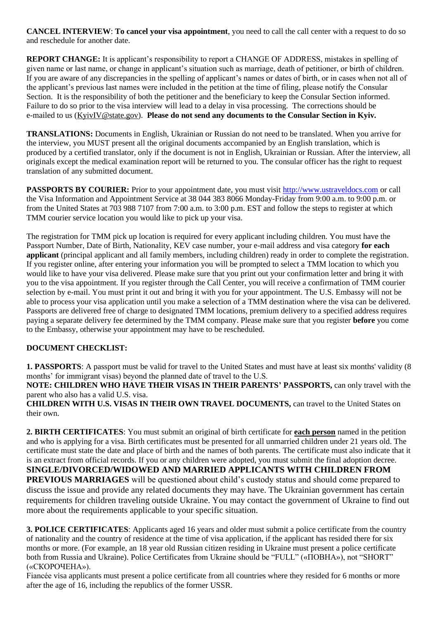**CANCEL INTERVIEW**: **To cancel your visa appointment**, you need to call the call center with a request to do so and reschedule for another date.

**REPORT CHANGE:** It is applicant's responsibility to report a CHANGE OF ADDRESS, mistakes in spelling of given name or last name, or change in applicant's situation such as marriage, death of petitioner, or birth of children. If you are aware of any discrepancies in the spelling of applicant's names or dates of birth, or in cases when not all of the applicant's previous last names were included in the petition at the time of filing, please notify the Consular Section. It is the responsibility of both the petitioner and the beneficiary to keep the Consular Section informed. Failure to do so prior to the visa interview will lead to a delay in visa processing. The corrections should be e-mailed to us [\(KyivIV@state.gov\)](mailto:ivkiev@state.gov). **Please do not send any documents to the Consular Section in Kyiv.**

**TRANSLATIONS:** Documents in English, Ukrainian or Russian do not need to be translated. When you arrive for the interview, you MUST present all the original documents accompanied by an English translation, which is produced by a certified translator, only if the document is not in English, Ukrainian or Russian. After the interview, all originals except the medical examination report will be returned to you. The consular officer has the right to request translation of any submitted document.

**PASSPORTS BY COURIER:** Prior to your appointment date, you must visit [http://www.ustraveldocs.com](http://www.ustraveldocs.com/) or call the Visa Information and Appointment Service at 38 044 383 8066 Monday-Friday from 9:00 a.m. to 9:00 p.m. or from the United States at 703 988 7107 from 7:00 a.m. to 3:00 p.m. EST and follow the steps to register at which TMM courier service location you would like to pick up your visa.

The registration for TMM pick up location is required for every applicant including children. You must have the Passport Number, Date of Birth, Nationality, KEV case number, your e-mail address and visa category **for each applicant** (principal applicant and all family members, including children) ready in order to complete the registration. If you register online, after entering your information you will be prompted to select a TMM location to which you would like to have your visa delivered. Please make sure that you print out your confirmation letter and bring it with you to the visa appointment. If you register through the Call Center, you will receive a confirmation of TMM courier selection by e-mail. You must print it out and bring it with you for your appointment. The U.S. Embassy will not be able to process your visa application until you make a selection of a TMM destination where the visa can be delivered. Passports are delivered free of charge to designated TMM locations, premium delivery to a specified address requires paying a separate delivery fee determined by the TMM company. Please make sure that you register **before** you come to the Embassy, otherwise your appointment may have to be rescheduled.

## **DOCUMENT CHECKLIST:**

**1. PASSPORTS**: A passport must be valid for travel to the United States and must have at least six months' validity (8 months' for immigrant visas) beyond the planned date of travel to the U.S.

**NOTE: CHILDREN WHO HAVE THEIR VISAS IN THEIR PARENTS' PASSPORTS,** can only travel with the parent who also has a valid U.S. visa.

**CHILDREN WITH U.S. VISAS IN THEIR OWN TRAVEL DOCUMENTS,** can travel to the United States on their own.

**2. BIRTH CERTIFICATES**: You must submit an original of birth certificate for **each person** named in the petition and who is applying for a visa. Birth certificates must be presented for all unmarried children under 21 years old. The certificate must state the date and place of birth and the names of both parents. The certificate must also indicate that it is an extract from official records. If you or any children were adopted, you must submit the final adoption decree. **SINGLE/DIVORCED/WIDOWED AND MARRIED APPLICANTS WITH CHILDREN FROM PREVIOUS MARRIAGES** will be questioned about child's custody status and should come prepared to discuss the issue and provide any related documents they may have. The Ukrainian government has certain requirements for children traveling outside Ukraine. You may contact the government of Ukraine to find out more about the requirements applicable to your specific situation.

**3. POLICE CERTIFICATES**: Applicants aged 16 years and older must submit a police certificate from the country of nationality and the country of residence at the time of visa application, if the applicant has resided there for six months or more. (For example, an 18 year old Russian citizen residing in Ukraine must present a police certificate both from Russia and Ukraine). Police Certificates from Ukraine should be "FULL" («ПОВНА»), not "SHORT" («СКОРОЧЕНА»).

Fiancée visa applicants must present a police certificate from all countries where they resided for 6 months or more after the age of 16, including the republics of the former USSR.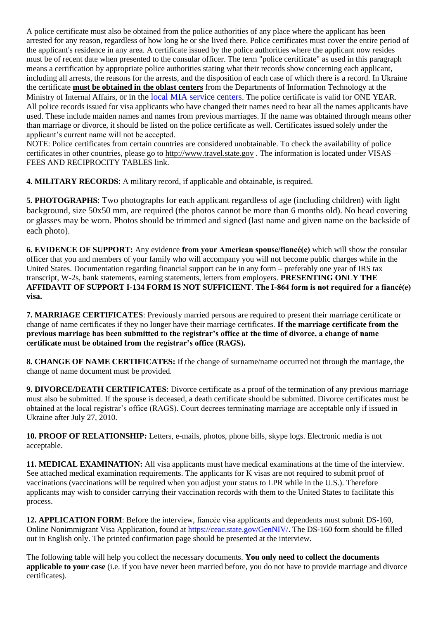A police certificate must also be obtained from the police authorities of any place where the applicant has been arrested for any reason, regardless of how long he or she lived there. Police certificates must cover the entire period of the applicant's residence in any area. A certificate issued by the police authorities where the applicant now resides must be of recent date when presented to the consular officer. The term "police certificate" as used in this paragraph means a certification by appropriate police authorities stating what their records show concerning each applicant, including all arrests, the reasons for the arrests, and the disposition of each case of which there is a record. In Ukraine the certificate **must be obtained in the oblast centers** from the Departments of Information Technology at the Ministry of Internal Affairs, or in the [local MIA service centers.](http://hsc.gov.ua/kontakti/kontakti-gsts-pidrozdiliv/) The police certificate is valid for ONE YEAR. All police records issued for visa applicants who have changed their names need to bear all the names applicants have used. These include maiden names and names from previous marriages. If the name was obtained through means other than marriage or divorce, it should be listed on the police certificate as well. Certificates issued solely under the applicant's current name will not be accepted.

NOTE: Police certificates from certain countries are considered unobtainable. To check the availability of police certificates in other countries, please go to [http://www.travel.state.gov](http://www.travel.state.gov/). The information is located under VISAS – FEES AND RECIPROCITY TABLES link.

**4. MILITARY RECORDS**: A military record, if applicable and obtainable, is required.

**5. PHOTOGRAPHS**: Two photographs for each applicant regardless of age (including children) with light background, size 50x50 mm, are required (the photos cannot be more than 6 months old). No head covering or glasses may be worn. Photos should be trimmed and signed (last name and given name on the backside of each photo).

**6. EVIDENCE OF SUPPORT:** Any evidence **from your American spouse/fiancé(e)** which will show the consular officer that you and members of your family who will accompany you will not become public charges while in the United States. Documentation regarding financial support can be in any form – preferably one year of IRS tax transcript, W-2s, bank statements, earning statements, letters from employers. **PRESENTING ONLY THE AFFIDAVIT OF SUPPORT I-134 FORM IS NOT SUFFICIENT**. **The I-864 form is not required for a fiancé(e) visa.**

**7. MARRIAGE CERTIFICATES**: Previously married persons are required to present their marriage certificate or change of name certificates if they no longer have their marriage certificates. **If the marriage certificate from the previous marriage has been submitted to the registrar's office at the time of divorce, a change of name certificate must be obtained from the registrar's office (RAGS).**

**8. CHANGE OF NAME CERTIFICATES:** If the change of surname/name occurred not through the marriage, the change of name document must be provided.

**9. DIVORCE/DEATH CERTIFICATES**: Divorce certificate as a proof of the termination of any previous marriage must also be submitted. If the spouse is deceased, a death certificate should be submitted. Divorce certificates must be obtained at the local registrar's office (RAGS). Court decrees terminating marriage are acceptable only if issued in Ukraine after July 27, 2010.

**10. PROOF OF RELATIONSHIP:** Letters, e-mails, photos, phone bills, skype logs. Electronic media is not acceptable.

**11. MEDICAL EXAMINATION:** All visa applicants must have medical examinations at the time of the interview. See attached medical examination requirements. The applicants for K visas are not required to submit proof of vaccinations (vaccinations will be required when you adjust your status to LPR while in the U.S.). Therefore applicants may wish to consider carrying their vaccination records with them to the United States to facilitate this process.

**12. APPLICATION FORM**: Before the interview, fiancée visa applicants and dependents must submit DS-160, Online Nonimmigrant Visa Application, found a[t https://ceac.state.gov/GenNIV/.](https://ceac.state.gov/GenNIV/) The DS-160 form should be filled out in English only. The printed confirmation page should be presented at the interview.

The following table will help you collect the necessary documents. **You only need to collect the documents applicable to your case** (i.e. if you have never been married before, you do not have to provide marriage and divorce certificates).